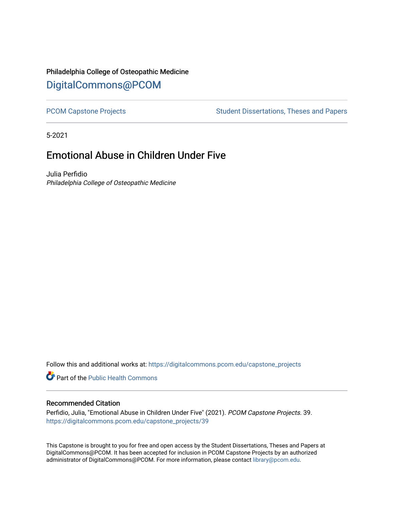# Philadelphia College of Osteopathic Medicine [DigitalCommons@PCOM](https://digitalcommons.pcom.edu/)

[PCOM Capstone Projects](https://digitalcommons.pcom.edu/capstone_projects) **Student Dissertations, Theses and Papers** Student Dissertations, Theses and Papers

5-2021

# Emotional Abuse in Children Under Five

Julia Perfidio Philadelphia College of Osteopathic Medicine

Follow this and additional works at: [https://digitalcommons.pcom.edu/capstone\\_projects](https://digitalcommons.pcom.edu/capstone_projects?utm_source=digitalcommons.pcom.edu%2Fcapstone_projects%2F39&utm_medium=PDF&utm_campaign=PDFCoverPages)

Part of the [Public Health Commons](http://network.bepress.com/hgg/discipline/738?utm_source=digitalcommons.pcom.edu%2Fcapstone_projects%2F39&utm_medium=PDF&utm_campaign=PDFCoverPages) 

### Recommended Citation

Perfidio, Julia, "Emotional Abuse in Children Under Five" (2021). PCOM Capstone Projects. 39. [https://digitalcommons.pcom.edu/capstone\\_projects/39](https://digitalcommons.pcom.edu/capstone_projects/39?utm_source=digitalcommons.pcom.edu%2Fcapstone_projects%2F39&utm_medium=PDF&utm_campaign=PDFCoverPages) 

This Capstone is brought to you for free and open access by the Student Dissertations, Theses and Papers at DigitalCommons@PCOM. It has been accepted for inclusion in PCOM Capstone Projects by an authorized administrator of DigitalCommons@PCOM. For more information, please contact [library@pcom.edu.](mailto:library@pcom.edu)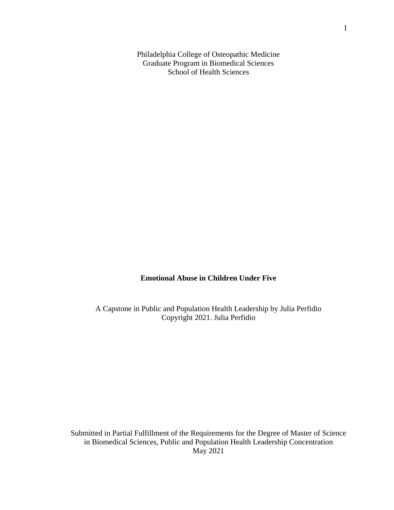Philadelphia College of Osteopathic Medicine Graduate Program in Biomedical Sciences School of Health Sciences

### **Emotional Abuse in Children Under Five**

A Capstone in Public and Population Health Leadership by Julia Perfidio Copyright 2021. Julia Perfidio

Submitted in Partial Fulfillment of the Requirements for the Degree of Master of Science in Biomedical Sciences, Public and Population Health Leadership Concentration May 2021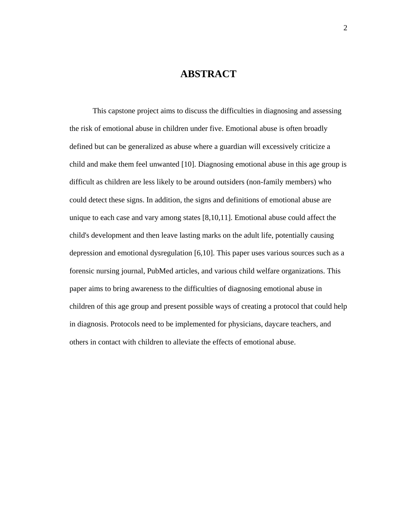## **ABSTRACT**

This capstone project aims to discuss the difficulties in diagnosing and assessing the risk of emotional abuse in children under five. Emotional abuse is often broadly defined but can be generalized as abuse where a guardian will excessively criticize a child and make them feel unwanted [10]. Diagnosing emotional abuse in this age group is difficult as children are less likely to be around outsiders (non-family members) who could detect these signs. In addition, the signs and definitions of emotional abuse are unique to each case and vary among states [8,10,11]. Emotional abuse could affect the child's development and then leave lasting marks on the adult life, potentially causing depression and emotional dysregulation [6,10]. This paper uses various sources such as a forensic nursing journal, PubMed articles, and various child welfare organizations. This paper aims to bring awareness to the difficulties of diagnosing emotional abuse in children of this age group and present possible ways of creating a protocol that could help in diagnosis. Protocols need to be implemented for physicians, daycare teachers, and others in contact with children to alleviate the effects of emotional abuse.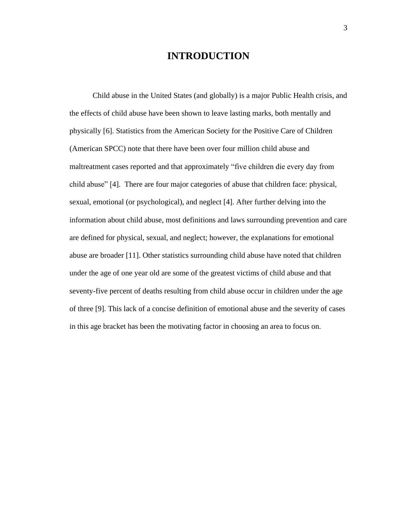## **INTRODUCTION**

Child abuse in the United States (and globally) is a major Public Health crisis, and the effects of child abuse have been shown to leave lasting marks, both mentally and physically [6]. Statistics from the American Society for the Positive Care of Children (American SPCC) note that there have been over four million child abuse and maltreatment cases reported and that approximately "five children die every day from child abuse" [4]. There are four major categories of abuse that children face: physical, sexual, emotional (or psychological), and neglect [4]. After further delving into the information about child abuse, most definitions and laws surrounding prevention and care are defined for physical, sexual, and neglect; however, the explanations for emotional abuse are broader [11]. Other statistics surrounding child abuse have noted that children under the age of one year old are some of the greatest victims of child abuse and that seventy-five percent of deaths resulting from child abuse occur in children under the age of three [9]. This lack of a concise definition of emotional abuse and the severity of cases in this age bracket has been the motivating factor in choosing an area to focus on.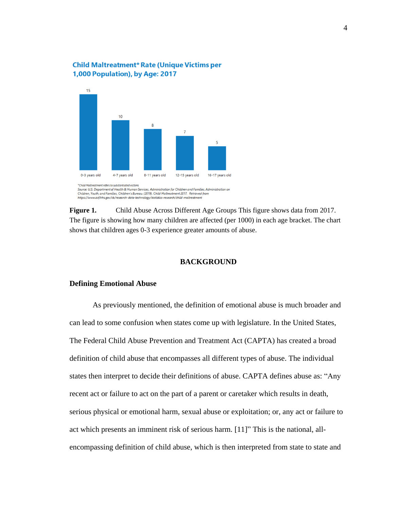### **Child Maltreatment\* Rate (Unique Victims per** 1,000 Population), by Age: 2017



Source: U.S. Department of Health & Human Services, Administration for Children and Families, Administration on Children, Youth, and Families, Children's Bureau. (2019). Child Maltreatment 2017. Retrieved from<br>https://www.acf.hhs.gov/cb/research-data-technology/statistics-research/child-maltreatment

**Figure 1.** Child Abuse Across Different Age Groups This figure shows data from 2017. The figure is showing how many children are affected (per 1000) in each age bracket. The chart shows that children ages 0-3 experience greater amounts of abuse.

#### **BACKGROUND**

#### **Defining Emotional Abuse**

As previously mentioned, the definition of emotional abuse is much broader and can lead to some confusion when states come up with legislature. In the United States, The Federal Child Abuse Prevention and Treatment Act (CAPTA) has created a broad definition of child abuse that encompasses all different types of abuse. The individual states then interpret to decide their definitions of abuse. CAPTA defines abuse as: "Any recent act or failure to act on the part of a parent or caretaker which results in death, serious physical or emotional harm, sexual abuse or exploitation; or, any act or failure to act which presents an imminent risk of serious harm. [11]" This is the national, allencompassing definition of child abuse, which is then interpreted from state to state and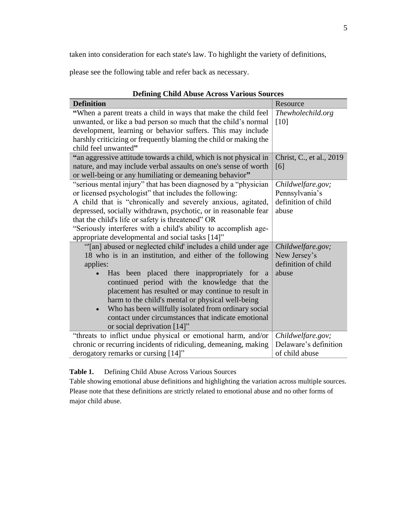taken into consideration for each state's law. To highlight the variety of definitions,

please see the following table and refer back as necessary.

| Denning United Studio Activisty various bources                   |                          |
|-------------------------------------------------------------------|--------------------------|
| <b>Definition</b>                                                 | Resource                 |
| "When a parent treats a child in ways that make the child feel    | Thewholechild.org        |
| unwanted, or like a bad person so much that the child's normal    | [10]                     |
| development, learning or behavior suffers. This may include       |                          |
| harshly criticizing or frequently blaming the child or making the |                          |
| child feel unwanted"                                              |                          |
| "an aggressive attitude towards a child, which is not physical in | Christ, C., et al., 2019 |
| nature, and may include verbal assaults on one's sense of worth   | [6]                      |
| or well-being or any humiliating or demeaning behavior"           |                          |
| "serious mental injury" that has been diagnosed by a "physician"  | Childwelfare.gov;        |
| or licensed psychologist" that includes the following:            | Pennsylvania's           |
| A child that is "chronically and severely anxious, agitated,      | definition of child      |
| depressed, socially withdrawn, psychotic, or in reasonable fear   | abuse                    |
| that the child's life or safety is threatened" OR                 |                          |
| "Seriously interferes with a child's ability to accomplish age-   |                          |
| appropriate developmental and social tasks [14]"                  |                          |
| "[an] abused or neglected child' includes a child under age       | Childwelfare.gov;        |
| 18 who is in an institution, and either of the following          | New Jersey's             |
| applies:                                                          | definition of child      |
| Has been placed there inappropriately for a                       | abuse                    |
| continued period with the knowledge that the                      |                          |
| placement has resulted or may continue to result in               |                          |
| harm to the child's mental or physical well-being                 |                          |
| Who has been willfully isolated from ordinary social              |                          |
| contact under circumstances that indicate emotional               |                          |
| or social deprivation [14]"                                       |                          |
| "threats to inflict undue physical or emotional harm, and/or      | Childwelfare.gov;        |
| chronic or recurring incidents of ridiculing, demeaning, making   | Delaware's definition    |
| derogatory remarks or cursing [14]"                               | of child abuse           |

### **Defining Child Abuse Across Various Sources**

**Table 1.** Defining Child Abuse Across Various Sources

Table showing emotional abuse definitions and highlighting the variation across multiple sources. Please note that these definitions are strictly related to emotional abuse and no other forms of major child abuse.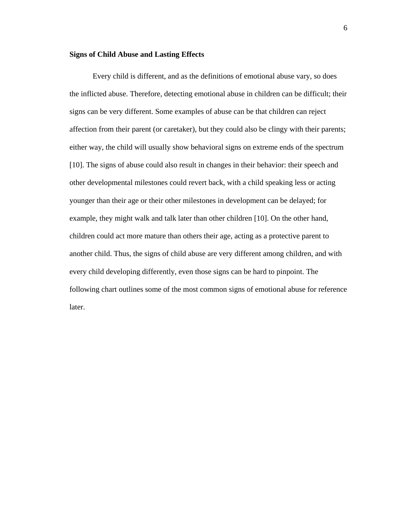#### **Signs of Child Abuse and Lasting Effects**

Every child is different, and as the definitions of emotional abuse vary, so does the inflicted abuse. Therefore, detecting emotional abuse in children can be difficult; their signs can be very different. Some examples of abuse can be that children can reject affection from their parent (or caretaker), but they could also be clingy with their parents; either way, the child will usually show behavioral signs on extreme ends of the spectrum [10]. The signs of abuse could also result in changes in their behavior: their speech and other developmental milestones could revert back, with a child speaking less or acting younger than their age or their other milestones in development can be delayed; for example, they might walk and talk later than other children [10]. On the other hand, children could act more mature than others their age, acting as a protective parent to another child. Thus, the signs of child abuse are very different among children, and with every child developing differently, even those signs can be hard to pinpoint. The following chart outlines some of the most common signs of emotional abuse for reference later.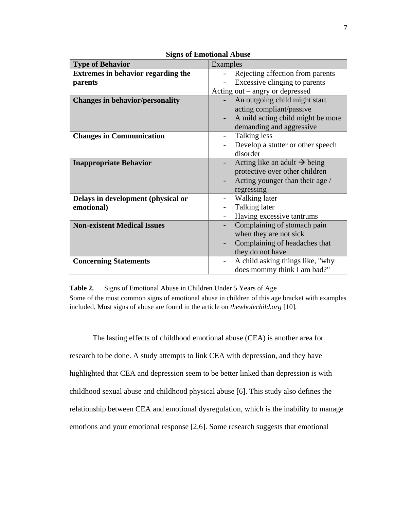| <b>Type of Behavior</b>                   | Examples                                               |  |  |
|-------------------------------------------|--------------------------------------------------------|--|--|
| <b>Extremes in behavior regarding the</b> | Rejecting affection from parents                       |  |  |
| parents                                   | Excessive clinging to parents                          |  |  |
|                                           | Acting out $-$ angry or depressed                      |  |  |
| <b>Changes in behavior/personality</b>    | An outgoing child might start                          |  |  |
|                                           | acting compliant/passive                               |  |  |
|                                           | A mild acting child might be more                      |  |  |
|                                           | demanding and aggressive                               |  |  |
| <b>Changes in Communication</b>           | Talking less                                           |  |  |
|                                           | Develop a stutter or other speech                      |  |  |
|                                           | disorder                                               |  |  |
| <b>Inappropriate Behavior</b>             | Acting like an adult $\rightarrow$ being               |  |  |
|                                           | protective over other children                         |  |  |
|                                           | Acting younger than their age /                        |  |  |
|                                           | regressing                                             |  |  |
| Delays in development (physical or        | Walking later                                          |  |  |
| emotional)                                | Talking later                                          |  |  |
|                                           | Having excessive tantrums                              |  |  |
| <b>Non-existent Medical Issues</b>        | Complaining of stomach pain                            |  |  |
|                                           | when they are not sick                                 |  |  |
|                                           | Complaining of headaches that                          |  |  |
|                                           | they do not have                                       |  |  |
| <b>Concerning Statements</b>              | A child asking things like, "why"<br>$\qquad \qquad -$ |  |  |
|                                           | does mommy think I am bad?"                            |  |  |

**Signs of Emotional Abuse**

**Table 2.** Signs of Emotional Abuse in Children Under 5 Years of Age Some of the most common signs of emotional abuse in children of this age bracket with examples included. Most signs of abuse are found in the article on *thewholechild.org* [10].

The lasting effects of childhood emotional abuse (CEA) is another area for research to be done. A study attempts to link CEA with depression, and they have highlighted that CEA and depression seem to be better linked than depression is with childhood sexual abuse and childhood physical abuse [6]. This study also defines the relationship between CEA and emotional dysregulation, which is the inability to manage emotions and your emotional response [2,6]. Some research suggests that emotional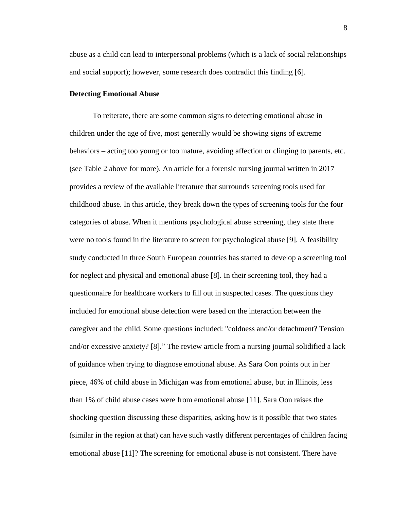abuse as a child can lead to interpersonal problems (which is a lack of social relationships and social support); however, some research does contradict this finding [6].

#### **Detecting Emotional Abuse**

To reiterate, there are some common signs to detecting emotional abuse in children under the age of five, most generally would be showing signs of extreme behaviors – acting too young or too mature, avoiding affection or clinging to parents, etc. (see Table 2 above for more). An article for a forensic nursing journal written in 2017 provides a review of the available literature that surrounds screening tools used for childhood abuse. In this article, they break down the types of screening tools for the four categories of abuse. When it mentions psychological abuse screening, they state there were no tools found in the literature to screen for psychological abuse [9]. A feasibility study conducted in three South European countries has started to develop a screening tool for neglect and physical and emotional abuse [8]. In their screening tool, they had a questionnaire for healthcare workers to fill out in suspected cases. The questions they included for emotional abuse detection were based on the interaction between the caregiver and the child. Some questions included: "coldness and/or detachment? Tension and/or excessive anxiety? [8]." The review article from a nursing journal solidified a lack of guidance when trying to diagnose emotional abuse. As Sara Oon points out in her piece, 46% of child abuse in Michigan was from emotional abuse, but in Illinois, less than 1% of child abuse cases were from emotional abuse [11]. Sara Oon raises the shocking question discussing these disparities, asking how is it possible that two states (similar in the region at that) can have such vastly different percentages of children facing emotional abuse [11]? The screening for emotional abuse is not consistent. There have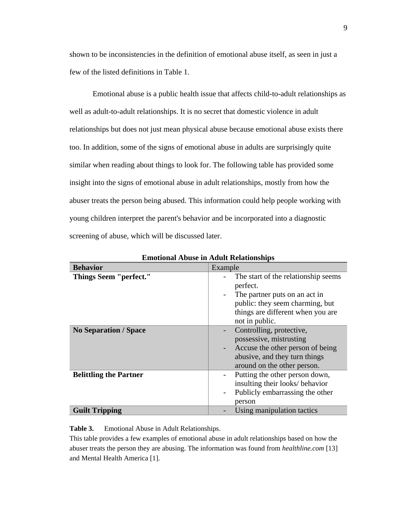shown to be inconsistencies in the definition of emotional abuse itself, as seen in just a few of the listed definitions in Table 1.

Emotional abuse is a public health issue that affects child-to-adult relationships as well as adult-to-adult relationships. It is no secret that domestic violence in adult relationships but does not just mean physical abuse because emotional abuse exists there too. In addition, some of the signs of emotional abuse in adults are surprisingly quite similar when reading about things to look for. The following table has provided some insight into the signs of emotional abuse in adult relationships, mostly from how the abuser treats the person being abused. This information could help people working with young children interpret the parent's behavior and be incorporated into a diagnostic screening of abuse, which will be discussed later.

| еннопонат движе не диши континентря |                                                                                                                                                                                                        |  |  |
|-------------------------------------|--------------------------------------------------------------------------------------------------------------------------------------------------------------------------------------------------------|--|--|
| <b>Behavior</b>                     | Example                                                                                                                                                                                                |  |  |
| <b>Things Seem "perfect."</b>       | The start of the relationship seems<br>perfect.<br>The partner puts on an act in<br>$\overline{\phantom{0}}$<br>public: they seem charming, but<br>things are different when you are<br>not in public. |  |  |
| <b>No Separation / Space</b>        | Controlling, protective,<br>possessive, mistrusting<br>Accuse the other person of being<br>abusive, and they turn things<br>around on the other person.                                                |  |  |
| <b>Belittling the Partner</b>       | Putting the other person down,<br>$\overline{\phantom{0}}$<br>insulting their looks/ behavior<br>Publicly embarrassing the other<br>$\overline{a}$<br>person                                           |  |  |
| <b>Guilt Tripping</b>               | Using manipulation tactics                                                                                                                                                                             |  |  |

**Emotional Abuse in Adult Relationships**

**Table 3.** Emotional Abuse in Adult Relationships.

This table provides a few examples of emotional abuse in adult relationships based on how the abuser treats the person they are abusing. The information was found from *healthline.com* [13] and Mental Health America [1].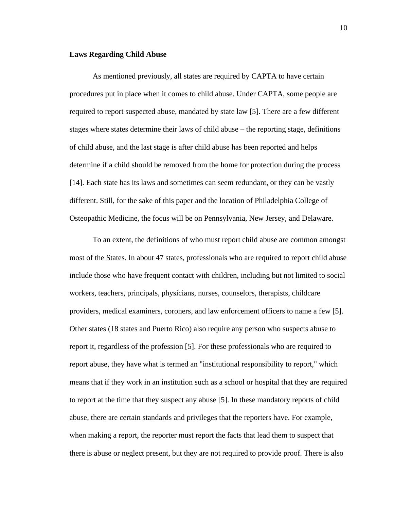#### **Laws Regarding Child Abuse**

As mentioned previously, all states are required by CAPTA to have certain procedures put in place when it comes to child abuse. Under CAPTA, some people are required to report suspected abuse, mandated by state law [5]. There are a few different stages where states determine their laws of child abuse – the reporting stage, definitions of child abuse, and the last stage is after child abuse has been reported and helps determine if a child should be removed from the home for protection during the process [14]. Each state has its laws and sometimes can seem redundant, or they can be vastly different. Still, for the sake of this paper and the location of Philadelphia College of Osteopathic Medicine, the focus will be on Pennsylvania, New Jersey, and Delaware.

To an extent, the definitions of who must report child abuse are common amongst most of the States. In about 47 states, professionals who are required to report child abuse include those who have frequent contact with children, including but not limited to social workers, teachers, principals, physicians, nurses, counselors, therapists, childcare providers, medical examiners, coroners, and law enforcement officers to name a few [5]. Other states (18 states and Puerto Rico) also require any person who suspects abuse to report it, regardless of the profession [5]. For these professionals who are required to report abuse, they have what is termed an "institutional responsibility to report," which means that if they work in an institution such as a school or hospital that they are required to report at the time that they suspect any abuse [5]. In these mandatory reports of child abuse, there are certain standards and privileges that the reporters have. For example, when making a report, the reporter must report the facts that lead them to suspect that there is abuse or neglect present, but they are not required to provide proof. There is also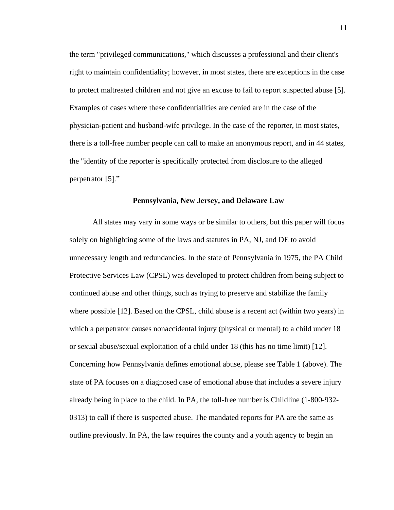the term "privileged communications," which discusses a professional and their client's right to maintain confidentiality; however, in most states, there are exceptions in the case to protect maltreated children and not give an excuse to fail to report suspected abuse [5]. Examples of cases where these confidentialities are denied are in the case of the physician-patient and husband-wife privilege. In the case of the reporter, in most states, there is a toll-free number people can call to make an anonymous report, and in 44 states, the "identity of the reporter is specifically protected from disclosure to the alleged perpetrator [5]."

#### **Pennsylvania, New Jersey, and Delaware Law**

All states may vary in some ways or be similar to others, but this paper will focus solely on highlighting some of the laws and statutes in PA, NJ, and DE to avoid unnecessary length and redundancies. In the state of Pennsylvania in 1975, the PA Child Protective Services Law (CPSL) was developed to protect children from being subject to continued abuse and other things, such as trying to preserve and stabilize the family where possible [12]. Based on the CPSL, child abuse is a recent act (within two years) in which a perpetrator causes nonaccidental injury (physical or mental) to a child under 18 or sexual abuse/sexual exploitation of a child under 18 (this has no time limit) [12]. Concerning how Pennsylvania defines emotional abuse, please see Table 1 (above). The state of PA focuses on a diagnosed case of emotional abuse that includes a severe injury already being in place to the child. In PA, the toll-free number is Childline (1-800-932- 0313) to call if there is suspected abuse. The mandated reports for PA are the same as outline previously. In PA, the law requires the county and a youth agency to begin an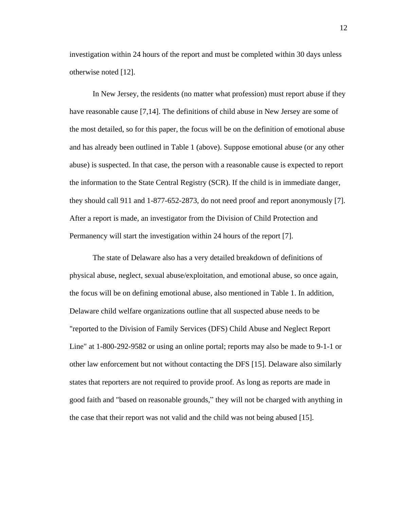investigation within 24 hours of the report and must be completed within 30 days unless otherwise noted [12].

In New Jersey, the residents (no matter what profession) must report abuse if they have reasonable cause [7,14]. The definitions of child abuse in New Jersey are some of the most detailed, so for this paper, the focus will be on the definition of emotional abuse and has already been outlined in Table 1 (above). Suppose emotional abuse (or any other abuse) is suspected. In that case, the person with a reasonable cause is expected to report the information to the State Central Registry (SCR). If the child is in immediate danger, they should call 911 and 1-877-652-2873, do not need proof and report anonymously [7]. After a report is made, an investigator from the Division of Child Protection and Permanency will start the investigation within 24 hours of the report [7].

The state of Delaware also has a very detailed breakdown of definitions of physical abuse, neglect, sexual abuse/exploitation, and emotional abuse, so once again, the focus will be on defining emotional abuse, also mentioned in Table 1. In addition, Delaware child welfare organizations outline that all suspected abuse needs to be "reported to the Division of Family Services (DFS) Child Abuse and Neglect Report Line" at 1-800-292-9582 or using an online portal; reports may also be made to 9-1-1 or other law enforcement but not without contacting the DFS [15]. Delaware also similarly states that reporters are not required to provide proof. As long as reports are made in good faith and "based on reasonable grounds," they will not be charged with anything in the case that their report was not valid and the child was not being abused [15].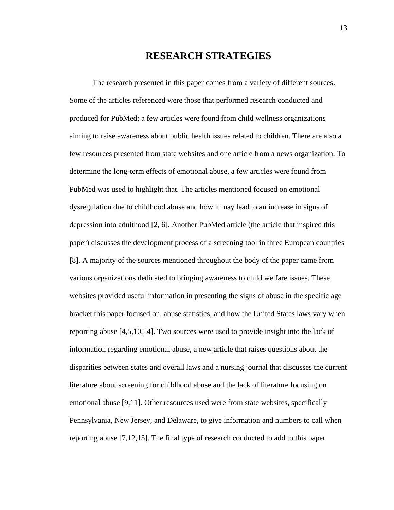## **RESEARCH STRATEGIES**

The research presented in this paper comes from a variety of different sources. Some of the articles referenced were those that performed research conducted and produced for PubMed; a few articles were found from child wellness organizations aiming to raise awareness about public health issues related to children. There are also a few resources presented from state websites and one article from a news organization. To determine the long-term effects of emotional abuse, a few articles were found from PubMed was used to highlight that. The articles mentioned focused on emotional dysregulation due to childhood abuse and how it may lead to an increase in signs of depression into adulthood [2, 6]. Another PubMed article (the article that inspired this paper) discusses the development process of a screening tool in three European countries [8]. A majority of the sources mentioned throughout the body of the paper came from various organizations dedicated to bringing awareness to child welfare issues. These websites provided useful information in presenting the signs of abuse in the specific age bracket this paper focused on, abuse statistics, and how the United States laws vary when reporting abuse [4,5,10,14]. Two sources were used to provide insight into the lack of information regarding emotional abuse, a new article that raises questions about the disparities between states and overall laws and a nursing journal that discusses the current literature about screening for childhood abuse and the lack of literature focusing on emotional abuse [9,11]. Other resources used were from state websites, specifically Pennsylvania, New Jersey, and Delaware, to give information and numbers to call when reporting abuse [7,12,15]. The final type of research conducted to add to this paper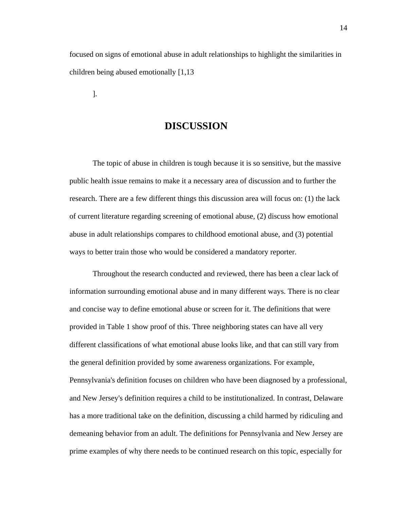focused on signs of emotional abuse in adult relationships to highlight the similarities in children being abused emotionally [1,13

].

## **DISCUSSION**

The topic of abuse in children is tough because it is so sensitive, but the massive public health issue remains to make it a necessary area of discussion and to further the research. There are a few different things this discussion area will focus on: (1) the lack of current literature regarding screening of emotional abuse, (2) discuss how emotional abuse in adult relationships compares to childhood emotional abuse, and (3) potential ways to better train those who would be considered a mandatory reporter.

Throughout the research conducted and reviewed, there has been a clear lack of information surrounding emotional abuse and in many different ways. There is no clear and concise way to define emotional abuse or screen for it. The definitions that were provided in Table 1 show proof of this. Three neighboring states can have all very different classifications of what emotional abuse looks like, and that can still vary from the general definition provided by some awareness organizations. For example, Pennsylvania's definition focuses on children who have been diagnosed by a professional, and New Jersey's definition requires a child to be institutionalized. In contrast, Delaware has a more traditional take on the definition, discussing a child harmed by ridiculing and demeaning behavior from an adult. The definitions for Pennsylvania and New Jersey are prime examples of why there needs to be continued research on this topic, especially for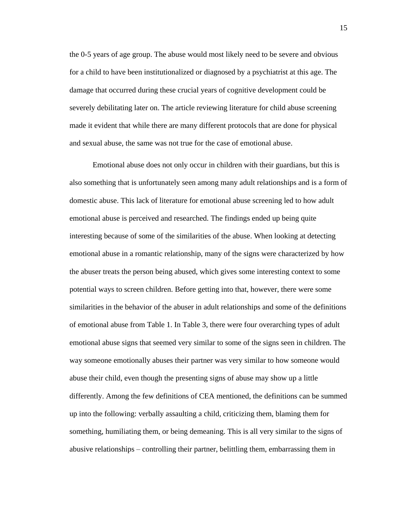the 0-5 years of age group. The abuse would most likely need to be severe and obvious for a child to have been institutionalized or diagnosed by a psychiatrist at this age. The damage that occurred during these crucial years of cognitive development could be severely debilitating later on. The article reviewing literature for child abuse screening made it evident that while there are many different protocols that are done for physical and sexual abuse, the same was not true for the case of emotional abuse.

Emotional abuse does not only occur in children with their guardians, but this is also something that is unfortunately seen among many adult relationships and is a form of domestic abuse. This lack of literature for emotional abuse screening led to how adult emotional abuse is perceived and researched. The findings ended up being quite interesting because of some of the similarities of the abuse. When looking at detecting emotional abuse in a romantic relationship, many of the signs were characterized by how the abuser treats the person being abused, which gives some interesting context to some potential ways to screen children. Before getting into that, however, there were some similarities in the behavior of the abuser in adult relationships and some of the definitions of emotional abuse from Table 1. In Table 3, there were four overarching types of adult emotional abuse signs that seemed very similar to some of the signs seen in children. The way someone emotionally abuses their partner was very similar to how someone would abuse their child, even though the presenting signs of abuse may show up a little differently. Among the few definitions of CEA mentioned, the definitions can be summed up into the following: verbally assaulting a child, criticizing them, blaming them for something, humiliating them, or being demeaning. This is all very similar to the signs of abusive relationships – controlling their partner, belittling them, embarrassing them in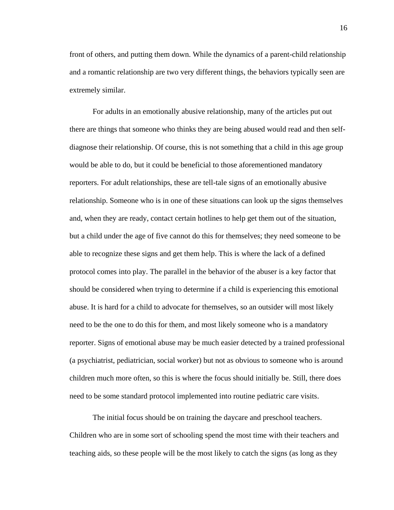front of others, and putting them down. While the dynamics of a parent-child relationship and a romantic relationship are two very different things, the behaviors typically seen are extremely similar.

For adults in an emotionally abusive relationship, many of the articles put out there are things that someone who thinks they are being abused would read and then selfdiagnose their relationship. Of course, this is not something that a child in this age group would be able to do, but it could be beneficial to those aforementioned mandatory reporters. For adult relationships, these are tell-tale signs of an emotionally abusive relationship. Someone who is in one of these situations can look up the signs themselves and, when they are ready, contact certain hotlines to help get them out of the situation, but a child under the age of five cannot do this for themselves; they need someone to be able to recognize these signs and get them help. This is where the lack of a defined protocol comes into play. The parallel in the behavior of the abuser is a key factor that should be considered when trying to determine if a child is experiencing this emotional abuse. It is hard for a child to advocate for themselves, so an outsider will most likely need to be the one to do this for them, and most likely someone who is a mandatory reporter. Signs of emotional abuse may be much easier detected by a trained professional (a psychiatrist, pediatrician, social worker) but not as obvious to someone who is around children much more often, so this is where the focus should initially be. Still, there does need to be some standard protocol implemented into routine pediatric care visits.

The initial focus should be on training the daycare and preschool teachers. Children who are in some sort of schooling spend the most time with their teachers and teaching aids, so these people will be the most likely to catch the signs (as long as they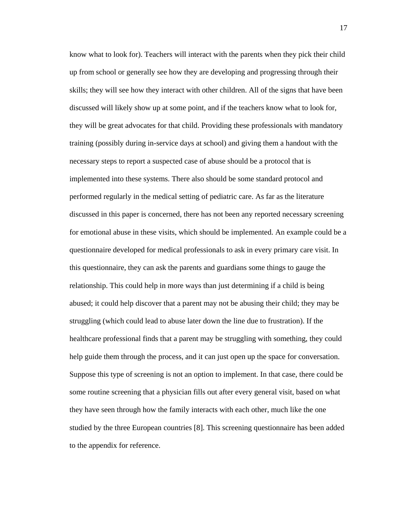know what to look for). Teachers will interact with the parents when they pick their child up from school or generally see how they are developing and progressing through their skills; they will see how they interact with other children. All of the signs that have been discussed will likely show up at some point, and if the teachers know what to look for, they will be great advocates for that child. Providing these professionals with mandatory training (possibly during in-service days at school) and giving them a handout with the necessary steps to report a suspected case of abuse should be a protocol that is implemented into these systems. There also should be some standard protocol and performed regularly in the medical setting of pediatric care. As far as the literature discussed in this paper is concerned, there has not been any reported necessary screening for emotional abuse in these visits, which should be implemented. An example could be a questionnaire developed for medical professionals to ask in every primary care visit. In this questionnaire, they can ask the parents and guardians some things to gauge the relationship. This could help in more ways than just determining if a child is being abused; it could help discover that a parent may not be abusing their child; they may be struggling (which could lead to abuse later down the line due to frustration). If the healthcare professional finds that a parent may be struggling with something, they could help guide them through the process, and it can just open up the space for conversation. Suppose this type of screening is not an option to implement. In that case, there could be some routine screening that a physician fills out after every general visit, based on what they have seen through how the family interacts with each other, much like the one studied by the three European countries [8]. This screening questionnaire has been added to the appendix for reference.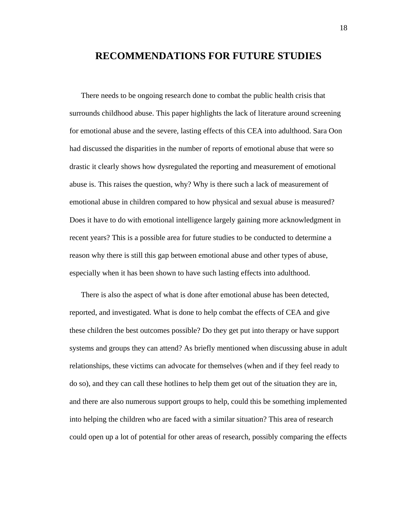## **RECOMMENDATIONS FOR FUTURE STUDIES**

There needs to be ongoing research done to combat the public health crisis that surrounds childhood abuse. This paper highlights the lack of literature around screening for emotional abuse and the severe, lasting effects of this CEA into adulthood. Sara Oon had discussed the disparities in the number of reports of emotional abuse that were so drastic it clearly shows how dysregulated the reporting and measurement of emotional abuse is. This raises the question, why? Why is there such a lack of measurement of emotional abuse in children compared to how physical and sexual abuse is measured? Does it have to do with emotional intelligence largely gaining more acknowledgment in recent years? This is a possible area for future studies to be conducted to determine a reason why there is still this gap between emotional abuse and other types of abuse, especially when it has been shown to have such lasting effects into adulthood.

There is also the aspect of what is done after emotional abuse has been detected, reported, and investigated. What is done to help combat the effects of CEA and give these children the best outcomes possible? Do they get put into therapy or have support systems and groups they can attend? As briefly mentioned when discussing abuse in adult relationships, these victims can advocate for themselves (when and if they feel ready to do so), and they can call these hotlines to help them get out of the situation they are in, and there are also numerous support groups to help, could this be something implemented into helping the children who are faced with a similar situation? This area of research could open up a lot of potential for other areas of research, possibly comparing the effects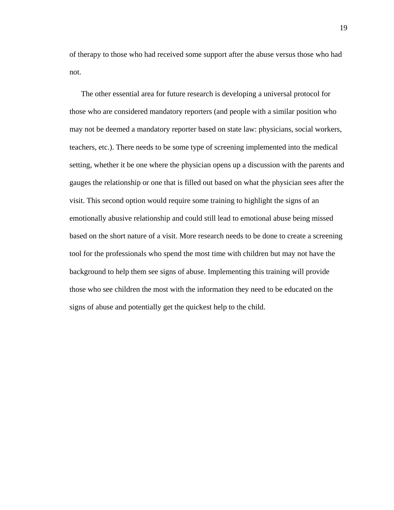of therapy to those who had received some support after the abuse versus those who had not.

The other essential area for future research is developing a universal protocol for those who are considered mandatory reporters (and people with a similar position who may not be deemed a mandatory reporter based on state law: physicians, social workers, teachers, etc.). There needs to be some type of screening implemented into the medical setting, whether it be one where the physician opens up a discussion with the parents and gauges the relationship or one that is filled out based on what the physician sees after the visit. This second option would require some training to highlight the signs of an emotionally abusive relationship and could still lead to emotional abuse being missed based on the short nature of a visit. More research needs to be done to create a screening tool for the professionals who spend the most time with children but may not have the background to help them see signs of abuse. Implementing this training will provide those who see children the most with the information they need to be educated on the signs of abuse and potentially get the quickest help to the child.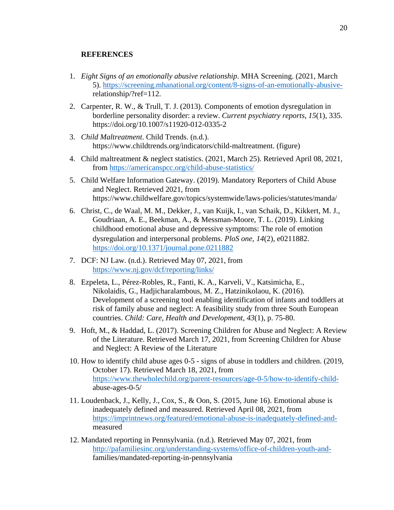#### **REFERENCES**

- 1. *Eight Signs of an emotionally abusive relationship*. MHA Screening. (2021, March 5). [https://screening.mhanational.org/content/8-signs-of-an-emotionally-abusive](https://screening.mhanational.org/content/8-signs-of-an-emotionally-abusive-)relationship/?ref=112.
- 2. Carpenter, R. W., & Trull, T. J. (2013). Components of emotion dysregulation in borderline personality disorder: a review. *Current psychiatry reports*, *15*(1), 335. https://doi.org/10.1007/s11920-012-0335-2
- 3. *Child Maltreatment*. Child Trends. (n.d.). https://www.childtrends.org/indicators/child-maltreatment. (figure)
- 4. Child maltreatment & neglect statistics. (2021, March 25). Retrieved April 08, 2021, from<https://americanspcc.org/child-abuse-statistics/>
- 5. Child Welfare Information Gateway. (2019). Mandatory Reporters of Child Abuse and Neglect. Retrieved 2021, from https://www.childwelfare.gov/topics/systemwide/laws-policies/statutes/manda/
- 6. Christ, C., de Waal, M. M., Dekker, J., van Kuijk, I., van Schaik, D., Kikkert, M. J., Goudriaan, A. E., Beekman, A., & Messman-Moore, T. L. (2019). Linking childhood emotional abuse and depressive symptoms: The role of emotion dysregulation and interpersonal problems. *PloS one*, *14*(2), e0211882. <https://doi.org/10.1371/journal.pone.0211882>
- 7. DCF: NJ Law. (n.d.). Retrieved May 07, 2021, from <https://www.nj.gov/dcf/reporting/links/>
- 8. Ezpeleta, L., Pérez-Robles, R., Fanti, K. A., Karveli, V., Katsimicha, E., Nikolaidis, G., Hadjicharalambous, M. Z., Hatzinikolaou, K. (2016). Development of a screening tool enabling identification of infants and toddlers at risk of family abuse and neglect: A feasibility study from three South European countries. *Child: Care, Health and Development, 43*(1), p. 75-80.
- 9. Hoft, M., & Haddad, L. (2017). Screening Children for Abuse and Neglect: A Review of the Literature. Retrieved March 17, 2021, from Screening Children for Abuse and Neglect: A Review of the Literature
- 10. How to identify child abuse ages 0-5 signs of abuse in toddlers and children. (2019, October 17). Retrieved March 18, 2021, from [https://www.thewholechild.org/parent-resources/age-0-5/how-to-identify-child](https://www.thewholechild.org/parent-resources/age-0-5/how-to-identify-child-)abuse-ages-0-5/
- 11. Loudenback, J., Kelly, J., Cox, S., & Oon, S. (2015, June 16). Emotional abuse is inadequately defined and measured. Retrieved April 08, 2021, from [https://imprintnews.org/featured/emotional-abuse-is-inadequately-defined-and](https://imprintnews.org/featured/emotional-abuse-is-inadequately-defined-and-)measured
- 12. Mandated reporting in Pennsylvania. (n.d.). Retrieved May 07, 2021, from [http://pafamiliesinc.org/understanding-systems/office-of-children-youth-and](http://pafamiliesinc.org/understanding-systems/office-of-children-youth-and-)families/mandated-reporting-in-pennsylvania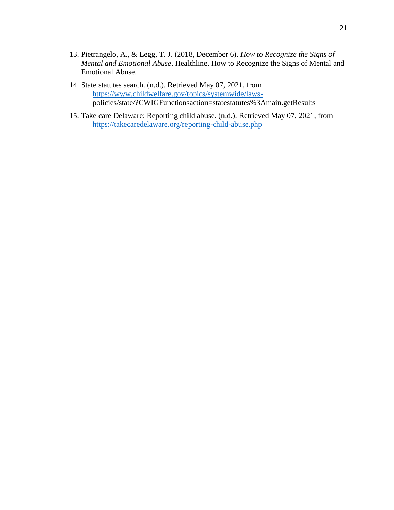- 13. Pietrangelo, A., & Legg, T. J. (2018, December 6). *How to Recognize the Signs of Mental and Emotional Abuse*. Healthline. How to Recognize the Signs of Mental and Emotional Abuse.
- 14. State statutes search. (n.d.). Retrieved May 07, 2021, from [https://www.childwelfare.gov/topics/systemwide/laws](https://www.childwelfare.gov/topics/systemwide/laws-)policies/state/?CWIGFunctionsaction=statestatutes%3Amain.getResults
- 15. Take care Delaware: Reporting child abuse. (n.d.). Retrieved May 07, 2021, from <https://takecaredelaware.org/reporting-child-abuse.php>